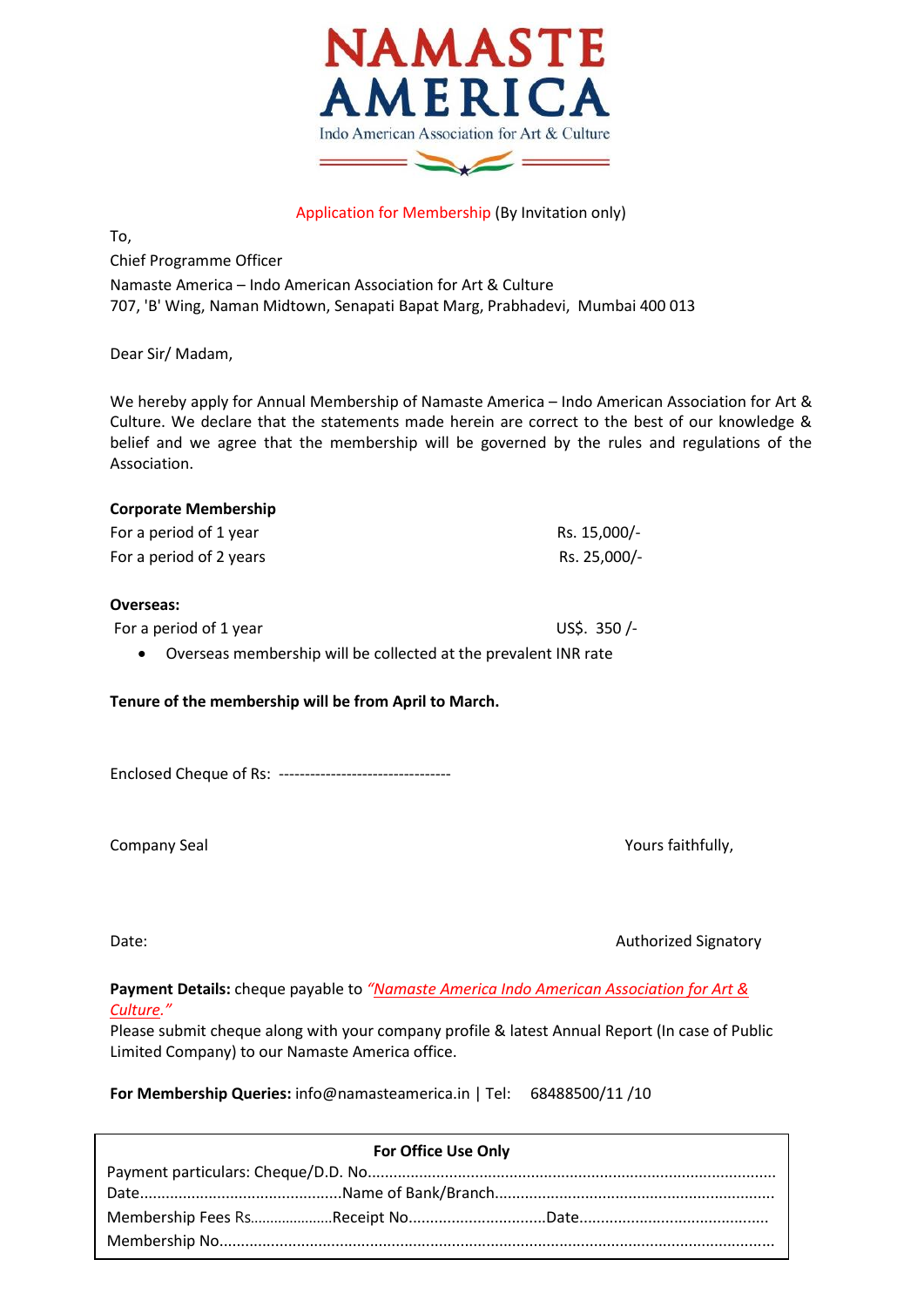

## Application for Membership (By Invitation only)

To,

Chief Programme Officer Namaste America – Indo American Association for Art & Culture 707, 'B' Wing, Naman Midtown, Senapati Bapat Marg, Prabhadevi, Mumbai 400 013

Dear Sir/ Madam,

We hereby apply for Annual Membership of Namaste America – Indo American Association for Art & Culture. We declare that the statements made herein are correct to the best of our knowledge & belief and we agree that the membership will be governed by the rules and regulations of the Association.

| <b>Corporate Membership</b> |              |
|-----------------------------|--------------|
| For a period of 1 year      | Rs. 15,000/- |
| For a period of 2 years     | Rs. 25,000/- |
|                             |              |

## **Overseas:**

For a period of 1 year US\$. 350 /-

Overseas membership will be collected at the prevalent INR rate

## **Tenure of the membership will be from April to March.**

Enclosed Cheque of Rs: ---------------------------------

Company Seal Yours faithfully,

Date: **Authorized Signatory COVID-2012** 

**Payment Details:** cheque payable to *"Namaste America Indo American Association for Art & Culture."*

Please submit cheque along with your company profile & latest Annual Report (In case of Public Limited Company) to our Namaste America office.

**For Membership Queries:** info@namasteamerica.in | Tel: 68488500/11 /10

| <b>For Office Use Only</b> |  |
|----------------------------|--|
|                            |  |
|                            |  |
|                            |  |